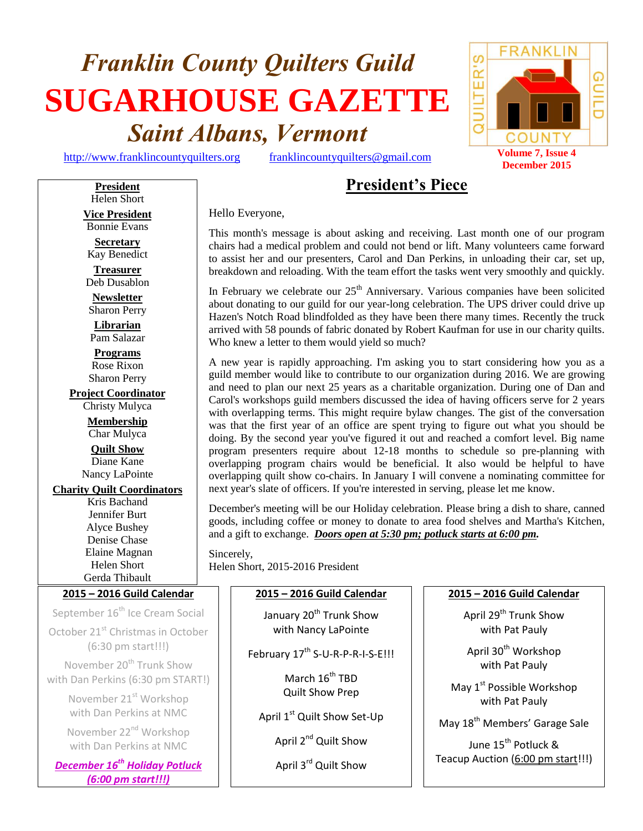# *Franklin County Quilters Guild* **SUGARHOUSE GAZETTE** *Saint Albans, Vermont*

**President** Helen Short **Vice President**

[http://www.franklincountyquilters.org](http://www.franklincountyquilters.org/) [franklincountyquilters@gmail.com](mailto:franklincountyquilters@gmail.com) **Volume 7, Issue 4** 

# **President's Piece**

Hello Everyone,

This month's message is about asking and receiving. Last month one of our program chairs had a medical problem and could not bend or lift. Many volunteers came forward to assist her and our presenters, Carol and Dan Perkins, in unloading their car, set up, breakdown and reloading. With the team effort the tasks went very smoothly and quickly.

In February we celebrate our  $25<sup>th</sup>$  Anniversary. Various companies have been solicited about donating to our guild for our year-long celebration. The UPS driver could drive up Hazen's Notch Road blindfolded as they have been there many times. Recently the truck arrived with 58 pounds of fabric donated by Robert Kaufman for use in our charity quilts. Who knew a letter to them would yield so much?

A new year is rapidly approaching. I'm asking you to start considering how you as a guild member would like to contribute to our organization during 2016. We are growing and need to plan our next 25 years as a charitable organization. During one of Dan and Carol's workshops guild members discussed the idea of having officers serve for 2 years with overlapping terms. This might require bylaw changes. The gist of the conversation was that the first year of an office are spent trying to figure out what you should be doing. By the second year you've figured it out and reached a comfort level. Big name program presenters require about 12-18 months to schedule so pre-planning with overlapping program chairs would be beneficial. It also would be helpful to have overlapping quilt show co-chairs. In January I will convene a nominating committee for next year's slate of officers. If you're interested in serving, please let me know.

December's meeting will be our Holiday celebration. Please bring a dish to share, canned goods, including coffee or money to donate to area food shelves and Martha's Kitchen, and a gift to exchange. *Doors open at 5:30 pm; potluck starts at 6:00 pm.*

Sincerely, Helen Short, 2015-2016 President

#### **2015 – 2016 Guild Calendar**

January 20<sup>th</sup> Trunk Show with Nancy LaPointe

February 17<sup>th</sup> S-U-R-P-R-I-S-E!!!

March 16<sup>th</sup> TBD Quilt Show Prep

April 1<sup>st</sup> Quilt Show Set-Up

April 2<sup>nd</sup> Quilt Show

April 3<sup>rd</sup> Quilt Show

#### **2015 – 2016 Guild Calendar**

April 29<sup>th</sup> Trunk Show with Pat Pauly

April 30<sup>th</sup> Workshop with Pat Pauly

May 1<sup>st</sup> Possible Workshop with Pat Pauly

May 18<sup>th</sup> Members' Garage Sale

June 15<sup>th</sup> Potluck <mark>&</mark> Teacup Auction (6:00 pm start!!!)

# Bonnie Evans **Secretary** Kay Benedict **Treasurer** Deb Dusablon **Newsletter** Sharon Perry **Librarian** Pam Salazar **Programs** Rose Rixon Sharon Perry **Project Coordinator** Christy Mulyca **Membership** Char Mulyca **Quilt Show** Diane Kane Nancy LaPointe Kris Bachand Jennifer Burt Alyce Bushey Denise Chase Elaine Magnan Helen Short Gerda Thibault November 20<sup>th</sup> Trunk Show November 22<sup>nd</sup> Workshop

**Charity Quilt Coordinators**

#### **2015 – 2016 Guild Calendar**

September 16<sup>th</sup> Ice Cream Social October 21<sup>st</sup> Christmas in October

(6:30 pm start!!!)

with Dan Perkins (6:30 pm START!)

November 21<sup>st</sup> Workshop with Dan Perkins at NMC

with Dan Perkins at NMC

*December 16th Holiday Potluck (6:00 pm start!!!)*

FRAN S QUILTER' GUIL **COUNTY December 2015**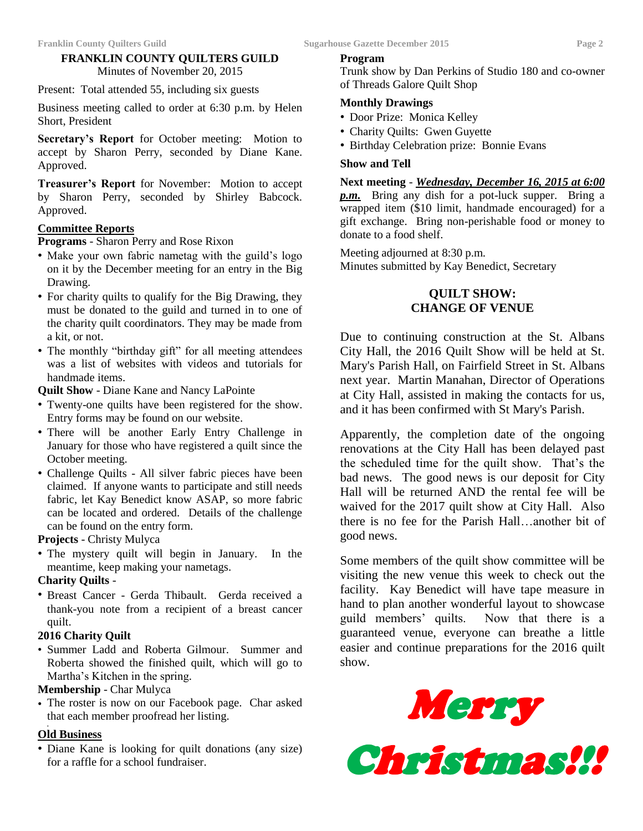#### **FRANKLIN COUNTY QUILTERS GUILD** Minutes of November 20, 2015

Present: Total attended 55, including six guests

Business meeting called to order at 6:30 p.m. by Helen Short, President

**Secretary's Report** for October meeting: Motion to accept by Sharon Perry, seconded by Diane Kane. Approved.

**Treasurer's Report** for November: Motion to accept by Sharon Perry, seconded by Shirley Babcock. Approved.

#### **Committee Reports**

**Programs** - Sharon Perry and Rose Rixon

- Make your own fabric nametag with the guild's logo on it by the December meeting for an entry in the Big Drawing.
- For charity quilts to qualify for the Big Drawing, they must be donated to the guild and turned in to one of the charity quilt coordinators. They may be made from a kit, or not.
- The monthly "birthday gift" for all meeting attendees was a list of websites with videos and tutorials for handmade items.

**Quilt Show** - Diane Kane and Nancy LaPointe

- Twenty-one quilts have been registered for the show. Entry forms may be found on our website.
- There will be another Early Entry Challenge in January for those who have registered a quilt since the October meeting.
- Challenge Quilts All silver fabric pieces have been claimed. If anyone wants to participate and still needs fabric, let Kay Benedict know ASAP, so more fabric can be located and ordered. Details of the challenge can be found on the entry form.

**Projects** - Christy Mulyca

• The mystery quilt will begin in January. In the meantime, keep making your nametags.

#### **Charity Quilts** -

• Breast Cancer - Gerda Thibault. Gerda received a thank-you note from a recipient of a breast cancer quilt.

#### **2016 Charity Quilt**

• Summer Ladd and Roberta Gilmour. Summer and Roberta showed the finished quilt, which will go to Martha's Kitchen in the spring.

#### **Membership** - Char Mulyca

• The roster is now on our Facebook page. Char asked that each member proofread her listing.

#### • **Old Business**

• Diane Kane is looking for quilt donations (any size) for a raffle for a school fundraiser.

#### **Program**

Trunk show by Dan Perkins of Studio 180 and co-owner of Threads Galore Quilt Shop

#### **Monthly Drawings**

- Door Prize: Monica Kelley
- Charity Quilts: Gwen Guyette
- Birthday Celebration prize: Bonnie Evans

#### **Show and Tell**

**Next meeting** - *Wednesday, December 16, 2015 at 6:00 p.m.* Bring any dish for a pot-luck supper. Bring a wrapped item (\$10 limit, handmade encouraged) for a gift exchange. Bring non-perishable food or money to donate to a food shelf.

Meeting adjourned at 8:30 p.m. Minutes submitted by Kay Benedict, Secretary

#### **QUILT SHOW: CHANGE OF VENUE**

Due to continuing construction at the St. Albans City Hall, the 2016 Quilt Show will be held at St. Mary's Parish Hall, on Fairfield Street in St. Albans next year. Martin Manahan, Director of Operations at City Hall, assisted in making the contacts for us, and it has been confirmed with St Mary's Parish.

Apparently, the completion date of the ongoing renovations at the City Hall has been delayed past the scheduled time for the quilt show. That's the bad news. The good news is our deposit for City Hall will be returned AND the rental fee will be waived for the 2017 quilt show at City Hall. Also there is no fee for the Parish Hall…another bit of good news.

Some members of the quilt show committee will be visiting the new venue this week to check out the facility. Kay Benedict will have tape measure in hand to plan another wonderful layout to showcase guild members' quilts. Now that there is a guaranteed venue, everyone can breathe a little easier and continue preparations for the 2016 quilt show.

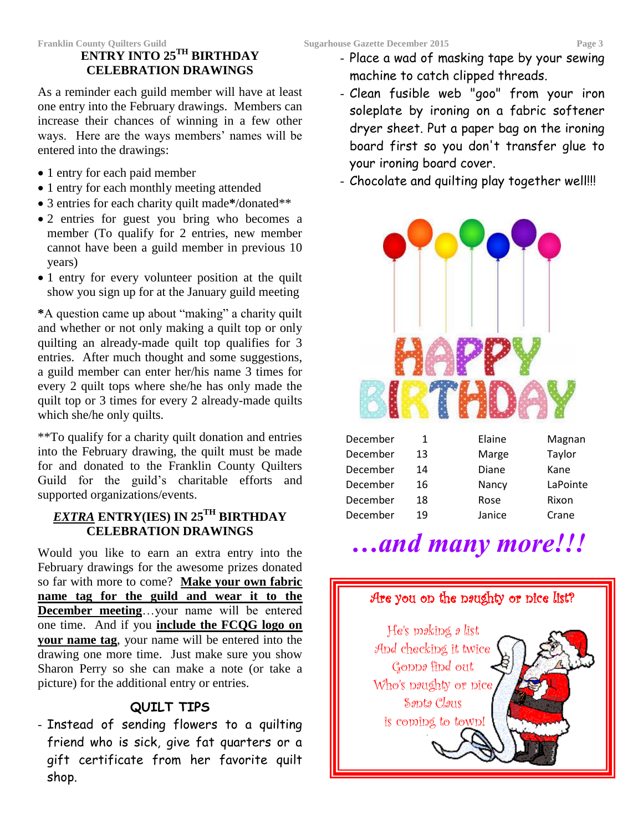### **ENTRY INTO 25TH BIRTHDAY CELEBRATION DRAWINGS**

As a reminder each guild member will have at least one entry into the February drawings. Members can increase their chances of winning in a few other ways. Here are the ways members' names will be entered into the drawings:

- 1 entry for each paid member
- 1 entry for each monthly meeting attended
- 3 entries for each charity quilt made**\***/donated\*\*
- 2 entries for guest you bring who becomes a member (To qualify for 2 entries, new member cannot have been a guild member in previous 10 years)
- 1 entry for every volunteer position at the quilt show you sign up for at the January guild meeting

**\***A question came up about "making" a charity quilt and whether or not only making a quilt top or only quilting an already-made quilt top qualifies for 3 entries. After much thought and some suggestions, a guild member can enter her/his name 3 times for every 2 quilt tops where she/he has only made the quilt top or 3 times for every 2 already-made quilts which she/he only quilts.

\*\*To qualify for a charity quilt donation and entries into the February drawing, the quilt must be made for and donated to the Franklin County Quilters Guild for the guild's charitable efforts and supported organizations/events.

### *EXTRA* **ENTRY(IES) IN 25TH BIRTHDAY CELEBRATION DRAWINGS**

Would you like to earn an extra entry into the February drawings for the awesome prizes donated so far with more to come? **Make your own fabric name tag for the guild and wear it to the December meeting**…your name will be entered one time. And if you **include the FCQG logo on your name tag**, your name will be entered into the drawing one more time. Just make sure you show Sharon Perry so she can make a note (or take a picture) for the additional entry or entries.

### **QUILT TIPS**

- Instead of sending flowers to a quilting friend who is sick, give fat quarters or a gift certificate from her favorite quilt shop.

- Place a wad of masking tape by your sewing machine to catch clipped threads.
- Clean fusible web "goo" from your iron soleplate by ironing on a fabric softener dryer sheet. Put a paper bag on the ironing board first so you don't transfer glue to your ironing board cover.
- Chocolate and quilting play together well!!!



| December | 1  | Elaine | Magnan   |
|----------|----|--------|----------|
| December | 13 | Marge  | Taylor   |
| December | 14 | Diane  | Kane     |
| December | 16 | Nancy  | LaPointe |
| December | 18 | Rose   | Rixon    |
| December | 19 | Janice | Crane    |

# *…and many more!!!*

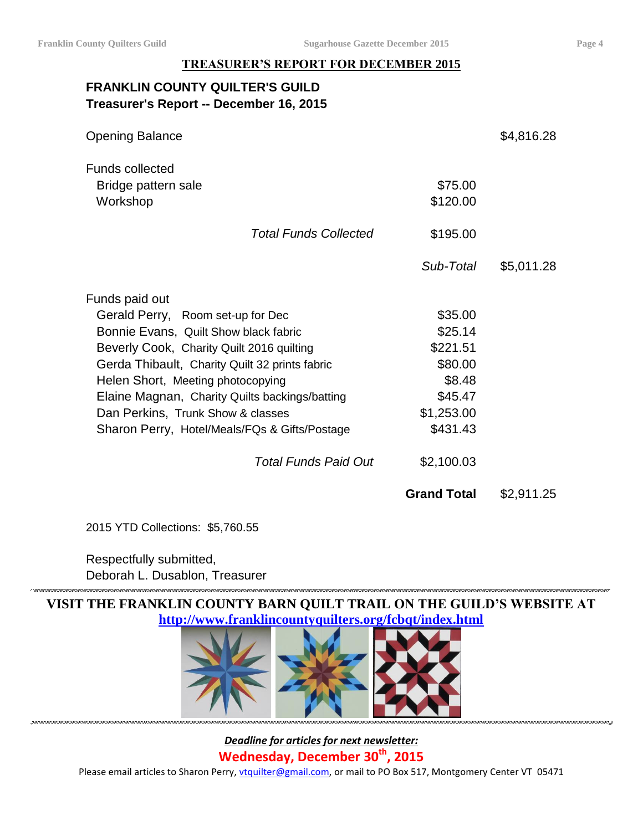#### **TREASURER'S REPORT FOR DECEMBER 2015**

#### **FRANKLIN COUNTY QUILTER'S GUILD Treasurer's Report -- December 16, 2015**

|                                                | <b>Grand Total</b> | \$2,911.25 |
|------------------------------------------------|--------------------|------------|
| <b>Total Funds Paid Out</b>                    | \$2,100.03         |            |
| Sharon Perry, Hotel/Meals/FQs & Gifts/Postage  | \$431.43           |            |
| Dan Perkins, Trunk Show & classes              | \$1,253.00         |            |
| Elaine Magnan, Charity Quilts backings/batting | \$45.47            |            |
| Helen Short, Meeting photocopying              | \$8.48             |            |
| Gerda Thibault, Charity Quilt 32 prints fabric | \$80.00            |            |
| Beverly Cook, Charity Quilt 2016 quilting      | \$221.51           |            |
| Bonnie Evans, Quilt Show black fabric          | \$25.14            |            |
| Gerald Perry, Room set-up for Dec              | \$35.00            |            |
| Funds paid out                                 |                    |            |
|                                                | Sub-Total          | \$5,011.28 |
| <b>Total Funds Collected</b>                   | \$195.00           |            |
| Workshop                                       | \$120.00           |            |
| <b>Funds collected</b><br>Bridge pattern sale  | \$75.00            |            |
| <b>Opening Balance</b>                         |                    | \$4,816.28 |
|                                                |                    |            |

2015 YTD Collections: \$5,760.55

Respectfully submitted, Deborah L. Dusablon, Treasurer

**VISIT THE FRANKLIN COUNTY BARN QUILT TRAIL ON THE GUILD'S WEBSITE AT <http://www.franklincountyquilters.org/fcbqt/index.html>**



*Deadline for articles for next newsletter:* **Wednesday, December 30th , 2015** Please email articles to Sharon Perry, [vtquilter@gmail.com,](mailto:vtquilter@gmail.com) or mail to PO Box 517, Montgomery Center VT 05471